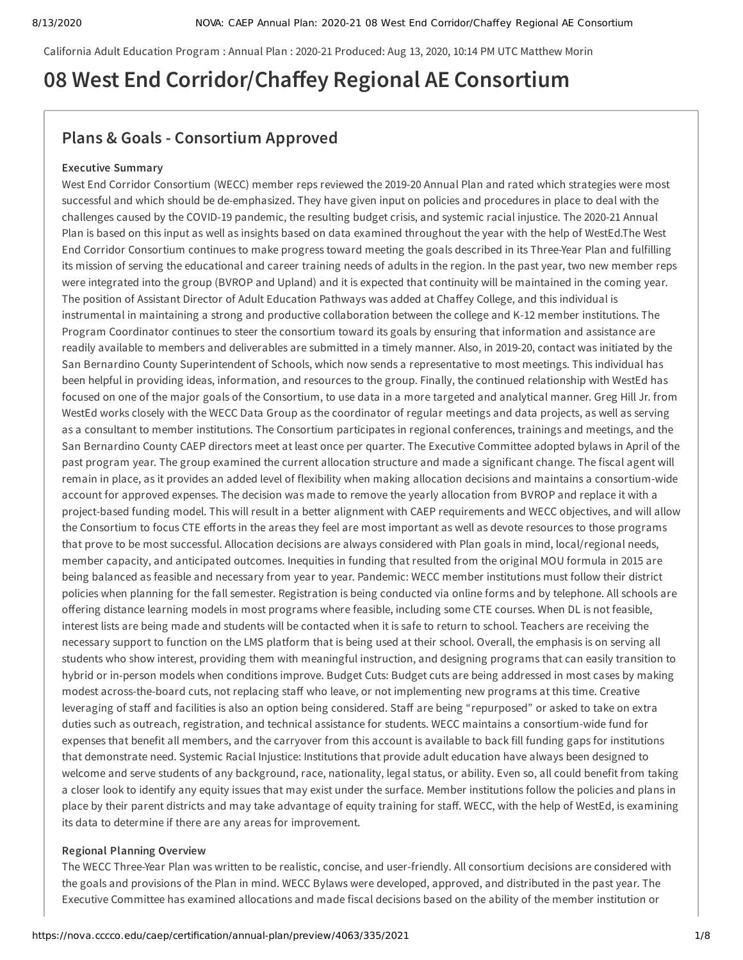California Adult Education Program : Annual Plan : 2020-21 Produced: Aug 13, 2020, 10:14 PM UTC Matthew Morin

# **08 West End Corridor/Chaey Regional AE Consortium**

# **Plans & Goals - Consortium Approved**

### **Executive Summary**

West End Corridor Consortium (WECC) member reps reviewed the 2019-20 Annual Plan and rated which strategies were most successful and which should be de-emphasized. They have given input on policies and procedures in place to deal with the challenges caused by the COVID-19 pandemic, the resulting budget crisis, and systemic racial injustice. The 2020-21 Annual Plan is based on this input as well as insights based on data examined throughout the year with the help of WestEd.The West End Corridor Consortium continues to make progress toward meeting the goals described in its Three-Year Plan and fulfilling its mission of serving the educational and career training needs of adults in the region. In the past year, two new member reps were integrated into the group (BVROP and Upland) and it is expected that continuity will be maintained in the coming year. The position of Assistant Director of Adult Education Pathways was added at Chaffey College, and this individual is instrumental in maintaining a strong and productive collaboration between the college and K-12 member institutions. The Program Coordinator continues to steer the consortium toward its goals by ensuring that information and assistance are readily available to members and deliverables are submitted in a timely manner. Also, in 2019-20, contact was initiated by the San Bernardino County Superintendent of Schools, which now sends a representative to most meetings. This individual has been helpful in providing ideas, information, and resources to the group. Finally, the continued relationship with WestEd has focused on one of the major goals of the Consortium, to use data in a more targeted and analytical manner. Greg Hill Jr. from WestEd works closely with the WECC Data Group as the coordinator of regular meetings and data projects, as well as serving as a consultant to member institutions. The Consortium participates in regional conferences, trainings and meetings, and the San Bernardino County CAEP directors meet at least once per quarter. The Executive Committee adopted bylaws in April of the past program year. The group examined the current allocation structure and made a significant change. The fiscal agent will remain in place, as it provides an added level of flexibility when making allocation decisions and maintains a consortium-wide account for approved expenses. The decision was made to remove the yearly allocation from BVROP and replace it with a project-based funding model. This will result in a better alignment with CAEP requirements and WECC objectives, and will allow the Consortium to focus CTE efforts in the areas they feel are most important as well as devote resources to those programs that prove to be most successful. Allocation decisions are always considered with Plan goals in mind, local/regional needs, member capacity, and anticipated outcomes. Inequities in funding that resulted from the original MOU formula in 2015 are being balanced as feasible and necessary from year to year. Pandemic: WECC member institutions must follow their district policies when planning for the fall semester. Registration is being conducted via online forms and by telephone. All schools are offering distance learning models in most programs where feasible, including some CTE courses. When DL is not feasible, interest lists are being made and students will be contacted when it is safe to return to school. Teachers are receiving the necessary support to function on the LMS platform that is being used at their school. Overall, the emphasis is on serving all students who show interest, providing them with meaningful instruction, and designing programs that can easily transition to hybrid or in-person models when conditions improve. Budget Cuts: Budget cuts are being addressed in most cases by making modest across-the-board cuts, not replacing staff who leave, or not implementing new programs at this time. Creative leveraging of staff and facilities is also an option being considered. Staff are being "repurposed" or asked to take on extra duties such as outreach, registration, and technical assistance for students. WECC maintains a consortium-wide fund for expenses that benefit all members, and the carryover from this account is available to back fill funding gaps for institutions that demonstrate need. Systemic Racial Injustice: Institutions that provide adult education have always been designed to welcome and serve students of any background, race, nationality, legal status, or ability. Even so, all could benefit from taking a closer look to identify any equity issues that may exist under the surface. Member institutions follow the policies and plans in place by their parent districts and may take advantage of equity training for staff. WECC, with the help of WestEd, is examining its data to determine if there are any areas for improvement.

# **Regional Planning Overview**

The WECC Three-Year Plan was written to be realistic, concise, and user-friendly. All consortium decisions are considered with the goals and provisions of the Plan in mind. WECC Bylaws were developed, approved, and distributed in the past year. The Executive Committee has examined allocations and made fiscal decisions based on the ability of the member institution or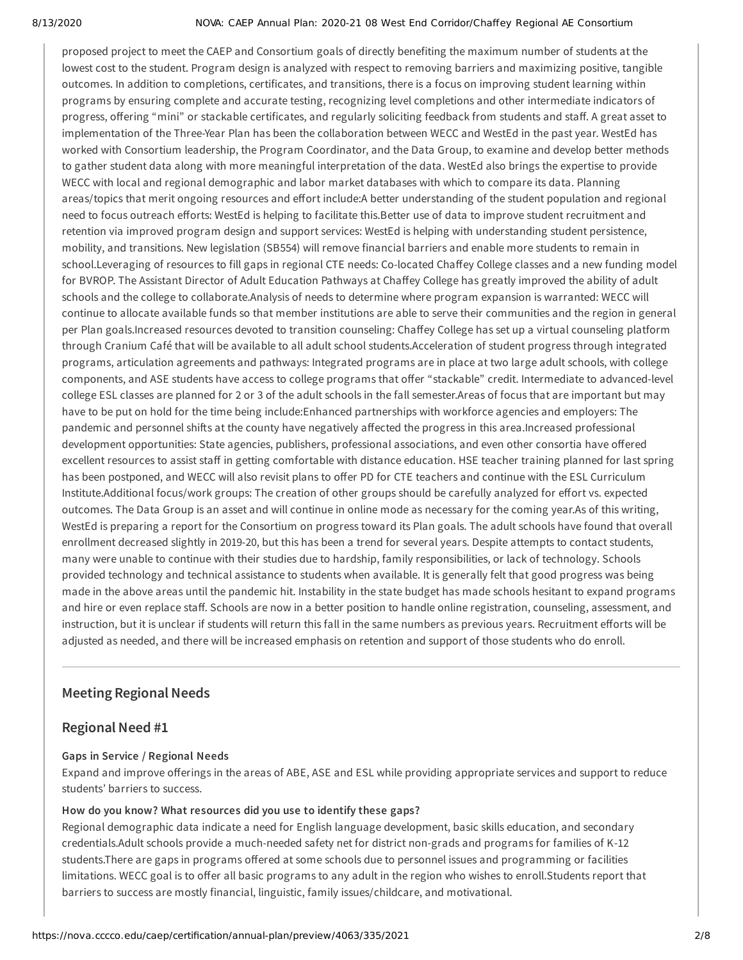#### 8/13/2020 NOVA: CAEP Annual Plan: 2020-21 08 West End Corridor/Chaffey Regional AE Consortium

proposed project to meet the CAEP and Consortium goals of directly benefiting the maximum number of students at the lowest cost to the student. Program design is analyzed with respect to removing barriers and maximizing positive, tangible outcomes. In addition to completions, certificates, and transitions, there is a focus on improving student learning within programs by ensuring complete and accurate testing, recognizing level completions and other intermediate indicators of progress, offering "mini" or stackable certificates, and regularly soliciting feedback from students and staff. A great asset to implementation of the Three-Year Plan has been the collaboration between WECC and WestEd in the past year. WestEd has worked with Consortium leadership, the Program Coordinator, and the Data Group, to examine and develop better methods to gather student data along with more meaningful interpretation of the data. WestEd also brings the expertise to provide WECC with local and regional demographic and labor market databases with which to compare its data. Planning areas/topics that merit ongoing resources and effort include:A better understanding of the student population and regional need to focus outreach efforts: WestEd is helping to facilitate this.Better use of data to improve student recruitment and retention via improved program design and support services: WestEd is helping with understanding student persistence, mobility, and transitions. New legislation (SB554) will remove financial barriers and enable more students to remain in school.Leveraging of resources to fill gaps in regional CTE needs: Co-located Chaffey College classes and a new funding model for BVROP. The Assistant Director of Adult Education Pathways at Chaffey College has greatly improved the ability of adult schools and the college to collaborate.Analysis of needs to determine where program expansion is warranted: WECC will continue to allocate available funds so that member institutions are able to serve their communities and the region in general per Plan goals.Increased resources devoted to transition counseling: Chaffey College has set up a virtual counseling platform through Cranium Café that will be available to all adult school students.Acceleration of student progress through integrated programs, articulation agreements and pathways: Integrated programs are in place at two large adult schools, with college components, and ASE students have access to college programs that offer "stackable" credit. Intermediate to advanced-level college ESL classes are planned for 2 or 3 of the adult schools in the fall semester.Areas of focus that are important but may have to be put on hold for the time being include:Enhanced partnerships with workforce agencies and employers: The pandemic and personnel shifts at the county have negatively affected the progress in this area.Increased professional development opportunities: State agencies, publishers, professional associations, and even other consortia have offered excellent resources to assist staff in getting comfortable with distance education. HSE teacher training planned for last spring has been postponed, and WECC will also revisit plans to offer PD for CTE teachers and continue with the ESL Curriculum Institute.Additional focus/work groups: The creation of other groups should be carefully analyzed for effort vs. expected outcomes. The Data Group is an asset and will continue in online mode as necessary for the coming year.As of this writing, WestEd is preparing a report for the Consortium on progress toward its Plan goals. The adult schools have found that overall enrollment decreased slightly in 2019-20, but this has been a trend for several years. Despite attempts to contact students, many were unable to continue with their studies due to hardship, family responsibilities, or lack of technology. Schools provided technology and technical assistance to students when available. It is generally felt that good progress was being made in the above areas until the pandemic hit. Instability in the state budget has made schools hesitant to expand programs and hire or even replace staff. Schools are now in a better position to handle online registration, counseling, assessment, and instruction, but it is unclear if students will return this fall in the same numbers as previous years. Recruitment efforts will be adjusted as needed, and there will be increased emphasis on retention and support of those students who do enroll.

# **Meeting Regional Needs**

# **Regional Need #1**

# **Gaps in Service / Regional Needs**

Expand and improve offerings in the areas of ABE, ASE and ESL while providing appropriate services and support to reduce students' barriers to success.

# **How do you know? What resources did you use to identify these gaps?**

Regional demographic data indicate a need for English language development, basic skills education, and secondary credentials.Adult schools provide a much-needed safety net for district non-grads and programs for families of K-12 students.There are gaps in programs offered at some schools due to personnel issues and programming or facilities limitations. WECC goal is to offer all basic programs to any adult in the region who wishes to enroll.Students report that barriers to success are mostly financial, linguistic, family issues/childcare, and motivational.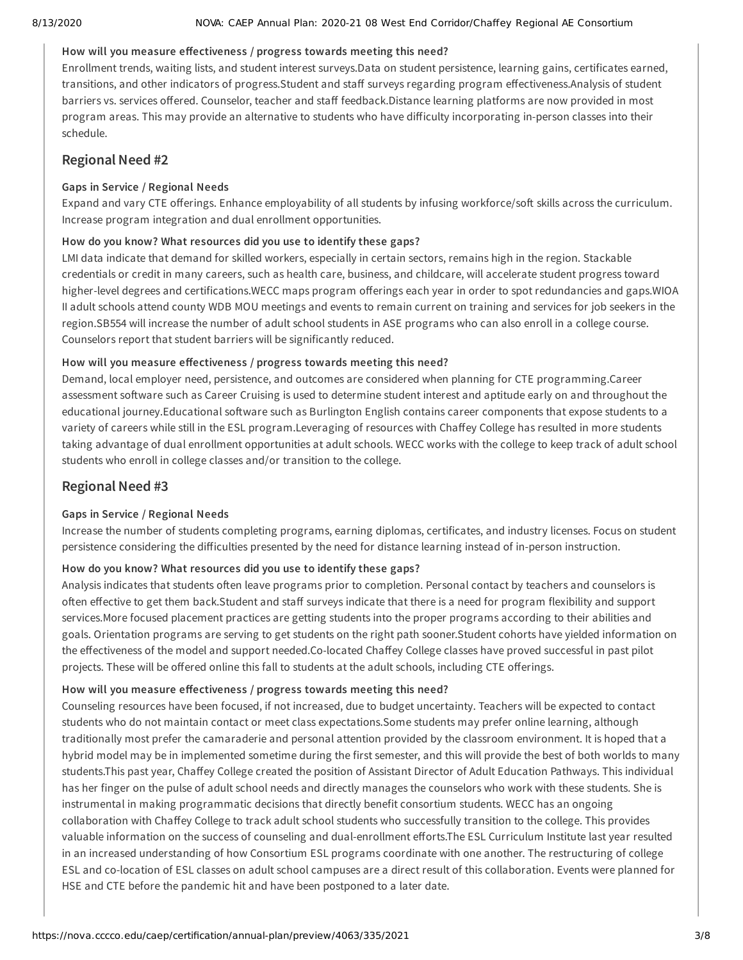#### 8/13/2020 NOVA: CAEP Annual Plan: 2020-21 08 West End Corridor/Chaffey Regional AE Consortium

### How will you measure effectiveness / progress towards meeting this need?

Enrollment trends, waiting lists, and student interest surveys.Data on student persistence, learning gains, certificates earned, transitions, and other indicators of progress.Student and staff surveys regarding program effectiveness.Analysis of student barriers vs. services offered. Counselor, teacher and staff feedback.Distance learning platforms are now provided in most program areas. This may provide an alternative to students who have difficulty incorporating in-person classes into their schedule.

# **Regional Need #2**

### **Gaps in Service / Regional Needs**

Expand and vary CTE offerings. Enhance employability of all students by infusing workforce/soft skills across the curriculum. Increase program integration and dual enrollment opportunities.

### **How do you know? What resources did you use to identify these gaps?**

LMI data indicate that demand for skilled workers, especially in certain sectors, remains high in the region. Stackable credentials or credit in many careers, such as health care, business, and childcare, will accelerate student progress toward higher-level degrees and certifications.WECC maps program offerings each year in order to spot redundancies and gaps.WIOA II adult schools attend county WDB MOU meetings and events to remain current on training and services for job seekers in the region.SB554 will increase the number of adult school students in ASE programs who can also enroll in a college course. Counselors report that student barriers will be significantly reduced.

### How will you measure effectiveness / progress towards meeting this need?

Demand, local employer need, persistence, and outcomes are considered when planning for CTE programming.Career assessment software such as Career Cruising is used to determine student interest and aptitude early on and throughout the educational journey.Educational software such as Burlington English contains career components that expose students to a variety of careers while still in the ESL program.Leveraging of resources with Chaffey College has resulted in more students taking advantage of dual enrollment opportunities at adult schools. WECC works with the college to keep track of adult school students who enroll in college classes and/or transition to the college.

# **Regional Need #3**

### **Gaps in Service / Regional Needs**

Increase the number of students completing programs, earning diplomas, certificates, and industry licenses. Focus on student persistence considering the difficulties presented by the need for distance learning instead of in-person instruction.

# **How do you know? What resources did you use to identify these gaps?**

Analysis indicates that students often leave programs prior to completion. Personal contact by teachers and counselors is often effective to get them back.Student and staff surveys indicate that there is a need for program flexibility and support services.More focused placement practices are getting students into the proper programs according to their abilities and goals. Orientation programs are serving to get students on the right path sooner.Student cohorts have yielded information on the effectiveness of the model and support needed.Co-located Chaffey College classes have proved successful in past pilot projects. These will be offered online this fall to students at the adult schools, including CTE offerings.

# How will you measure effectiveness / progress towards meeting this need?

Counseling resources have been focused, if not increased, due to budget uncertainty. Teachers will be expected to contact students who do not maintain contact or meet class expectations.Some students may prefer online learning, although traditionally most prefer the camaraderie and personal attention provided by the classroom environment. It is hoped that a hybrid model may be in implemented sometime during the first semester, and this will provide the best of both worlds to many students.This past year, Chaffey College created the position of Assistant Director of Adult Education Pathways. This individual has her finger on the pulse of adult school needs and directly manages the counselors who work with these students. She is instrumental in making programmatic decisions that directly benefit consortium students. WECC has an ongoing collaboration with Chaffey College to track adult school students who successfully transition to the college. This provides valuable information on the success of counseling and dual-enrollment efforts.The ESL Curriculum Institute last year resulted in an increased understanding of how Consortium ESL programs coordinate with one another. The restructuring of college ESL and co-location of ESL classes on adult school campuses are a direct result of this collaboration. Events were planned for HSE and CTE before the pandemic hit and have been postponed to a later date.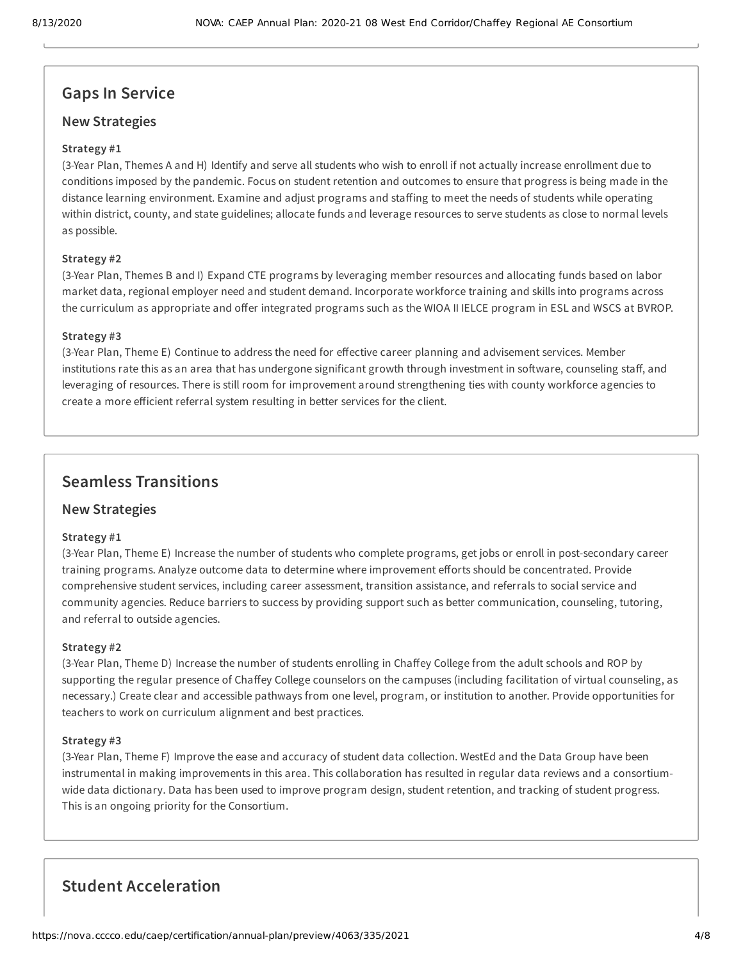# **Gaps In Service**

# **New Strategies**

### **Strategy #1**

(3-Year Plan, Themes A and H) Identify and serve all students who wish to enroll if not actually increase enrollment due to conditions imposed by the pandemic. Focus on student retention and outcomes to ensure that progress is being made in the distance learning environment. Examine and adjust programs and staffing to meet the needs of students while operating within district, county, and state guidelines; allocate funds and leverage resources to serve students as close to normal levels as possible.

### **Strategy #2**

(3-Year Plan, Themes B and I) Expand CTE programs by leveraging member resources and allocating funds based on labor market data, regional employer need and student demand. Incorporate workforce training and skills into programs across the curriculum as appropriate and offer integrated programs such as the WIOA II IELCE program in ESL and WSCS at BVROP.

### **Strategy #3**

(3-Year Plan, Theme E) Continue to address the need for effective career planning and advisement services. Member institutions rate this as an area that has undergone significant growth through investment in software, counseling staff, and leveraging of resources. There is still room for improvement around strengthening ties with county workforce agencies to create a more efficient referral system resulting in better services for the client.

# **Seamless Transitions**

# **New Strategies**

### **Strategy #1**

(3-Year Plan, Theme E) Increase the number of students who complete programs, get jobs or enroll in post-secondary career training programs. Analyze outcome data to determine where improvement efforts should be concentrated. Provide comprehensive student services, including career assessment, transition assistance, and referrals to social service and community agencies. Reduce barriers to success by providing support such as better communication, counseling, tutoring, and referral to outside agencies.

### **Strategy #2**

(3-Year Plan, Theme D) Increase the number of students enrolling in Chaffey College from the adult schools and ROP by supporting the regular presence of Chaffey College counselors on the campuses (including facilitation of virtual counseling, as necessary.) Create clear and accessible pathways from one level, program, or institution to another. Provide opportunities for teachers to work on curriculum alignment and best practices.

### **Strategy #3**

(3-Year Plan, Theme F) Improve the ease and accuracy of student data collection. WestEd and the Data Group have been instrumental in making improvements in this area. This collaboration has resulted in regular data reviews and a consortiumwide data dictionary. Data has been used to improve program design, student retention, and tracking of student progress. This is an ongoing priority for the Consortium.

# **Student Acceleration**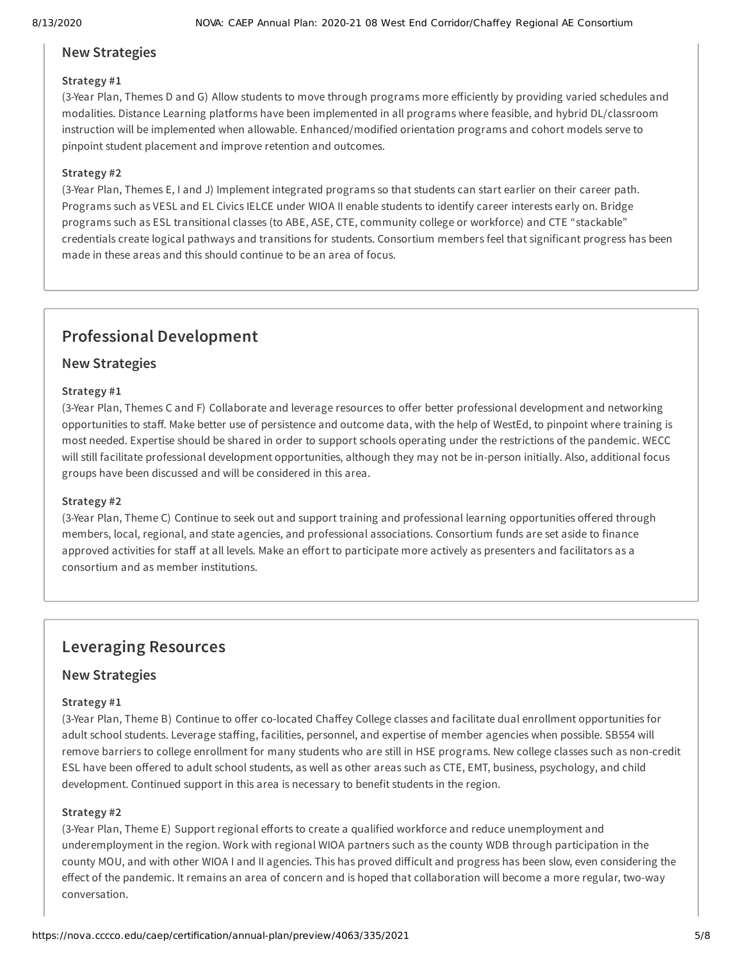# **New Strategies**

### **Strategy #1**

(3-Year Plan, Themes D and G) Allow students to move through programs more eiciently by providing varied schedules and modalities. Distance Learning platforms have been implemented in all programs where feasible, and hybrid DL/classroom instruction will be implemented when allowable. Enhanced/modified orientation programs and cohort models serve to pinpoint student placement and improve retention and outcomes.

### **Strategy #2**

(3-Year Plan, Themes E, I and J) Implement integrated programs so that students can start earlier on their career path. Programs such as VESL and EL Civics IELCE under WIOA II enable students to identify career interests early on. Bridge programs such as ESL transitional classes (to ABE, ASE, CTE, community college or workforce) and CTE "stackable" credentials create logical pathways and transitions for students. Consortium members feel that significant progress has been made in these areas and this should continue to be an area of focus.

# **Professional Development**

# **New Strategies**

### **Strategy #1**

(3-Year Plan, Themes C and F) Collaborate and leverage resources to offer better professional development and networking opportunities to staff. Make better use of persistence and outcome data, with the help of WestEd, to pinpoint where training is most needed. Expertise should be shared in order to support schools operating under the restrictions of the pandemic. WECC will still facilitate professional development opportunities, although they may not be in-person initially. Also, additional focus groups have been discussed and will be considered in this area.

### **Strategy #2**

(3-Year Plan, Theme C) Continue to seek out and support training and professional learning opportunities offered through members, local, regional, and state agencies, and professional associations. Consortium funds are set aside to finance approved activities for staff at all levels. Make an effort to participate more actively as presenters and facilitators as a consortium and as member institutions.

# **Leveraging Resources**

# **New Strategies**

### **Strategy #1**

(3-Year Plan, Theme B) Continue to offer co-located Chaffey College classes and facilitate dual enrollment opportunities for adult school students. Leverage staffing, facilities, personnel, and expertise of member agencies when possible. SB554 will remove barriers to college enrollment for many students who are still in HSE programs. New college classes such as non-credit ESL have been offered to adult school students, as well as other areas such as CTE, EMT, business, psychology, and child development. Continued support in this area is necessary to benefit students in the region.

### **Strategy #2**

(3-Year Plan, Theme E) Support regional efforts to create a qualified workforce and reduce unemployment and underemployment in the region. Work with regional WIOA partners such as the county WDB through participation in the county MOU, and with other WIOA I and II agencies. This has proved difficult and progress has been slow, even considering the effect of the pandemic. It remains an area of concern and is hoped that collaboration will become a more regular, two-way conversation.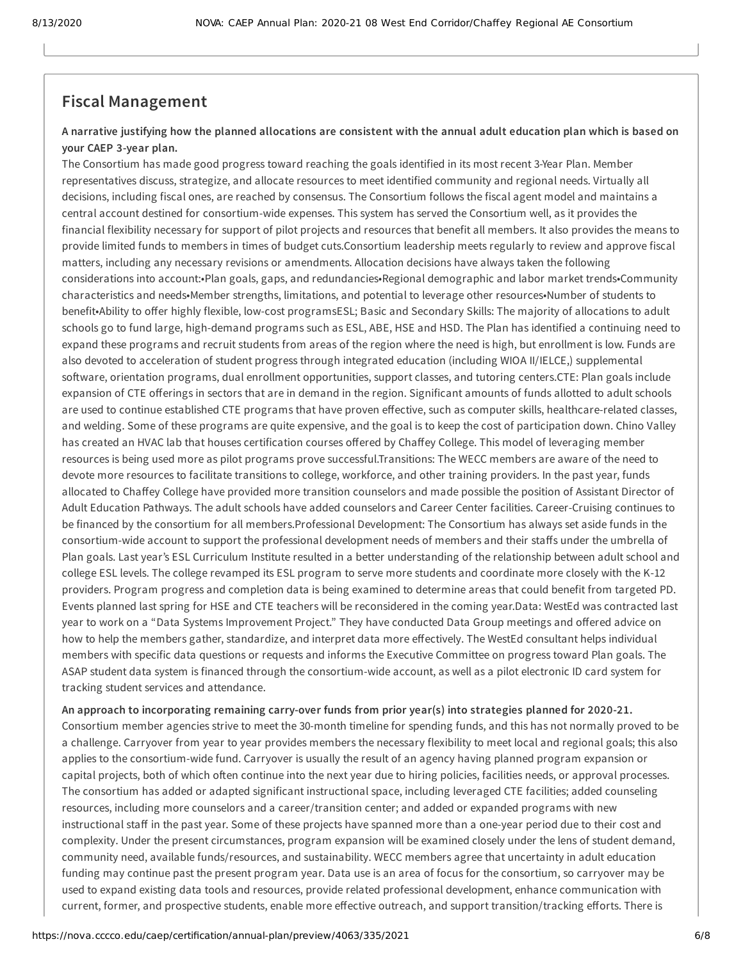# **Fiscal Management**

### A narrative justifying how the planned allocations are consistent with the annual adult education plan which is based on **your CAEP 3-year plan.**

The Consortium has made good progress toward reaching the goals identified in its most recent 3-Year Plan. Member representatives discuss, strategize, and allocate resources to meet identified community and regional needs. Virtually all decisions, including fiscal ones, are reached by consensus. The Consortium follows the fiscal agent model and maintains a central account destined for consortium-wide expenses. This system has served the Consortium well, as it provides the financial flexibility necessary for support of pilot projects and resources that benefit all members. It also provides the means to provide limited funds to members in times of budget cuts.Consortium leadership meets regularly to review and approve fiscal matters, including any necessary revisions or amendments. Allocation decisions have always taken the following considerations into account:•Plan goals, gaps, and redundancies•Regional demographic and labor market trends•Community characteristics and needs•Member strengths, limitations, and potential to leverage other resources•Number of students to benefit•Ability to offer highly flexible, low-cost programsESL; Basic and Secondary Skills: The majority of allocations to adult schools go to fund large, high-demand programs such as ESL, ABE, HSE and HSD. The Plan has identified a continuing need to expand these programs and recruit students from areas of the region where the need is high, but enrollment is low. Funds are also devoted to acceleration of student progress through integrated education (including WIOA II/IELCE,) supplemental software, orientation programs, dual enrollment opportunities, support classes, and tutoring centers.CTE: Plan goals include expansion of CTE offerings in sectors that are in demand in the region. Significant amounts of funds allotted to adult schools are used to continue established CTE programs that have proven effective, such as computer skills, healthcare-related classes, and welding. Some of these programs are quite expensive, and the goal is to keep the cost of participation down. Chino Valley has created an HVAC lab that houses certification courses offered by Chaffey College. This model of leveraging member resources is being used more as pilot programs prove successful.Transitions: The WECC members are aware of the need to devote more resources to facilitate transitions to college, workforce, and other training providers. In the past year, funds allocated to Chaffey College have provided more transition counselors and made possible the position of Assistant Director of Adult Education Pathways. The adult schools have added counselors and Career Center facilities. Career-Cruising continues to be financed by the consortium for all members.Professional Development: The Consortium has always set aside funds in the consortium-wide account to support the professional development needs of members and their staffs under the umbrella of Plan goals. Last year's ESL Curriculum Institute resulted in a better understanding of the relationship between adult school and college ESL levels. The college revamped its ESL program to serve more students and coordinate more closely with the K-12 providers. Program progress and completion data is being examined to determine areas that could benefit from targeted PD. Events planned last spring for HSE and CTE teachers will be reconsidered in the coming year.Data: WestEd was contracted last year to work on a "Data Systems Improvement Project." They have conducted Data Group meetings and offered advice on how to help the members gather, standardize, and interpret data more effectively. The WestEd consultant helps individual members with specific data questions or requests and informs the Executive Committee on progress toward Plan goals. The ASAP student data system is financed through the consortium-wide account, as well as a pilot electronic ID card system for tracking student services and attendance.

**An approach to incorporating remaining carry-over funds from prior year(s) into strategies planned for 2020-21.** Consortium member agencies strive to meet the 30-month timeline for spending funds, and this has not normally proved to be a challenge. Carryover from year to year provides members the necessary flexibility to meet local and regional goals; this also applies to the consortium-wide fund. Carryover is usually the result of an agency having planned program expansion or capital projects, both of which often continue into the next year due to hiring policies, facilities needs, or approval processes. The consortium has added or adapted significant instructional space, including leveraged CTE facilities; added counseling resources, including more counselors and a career/transition center; and added or expanded programs with new instructional staff in the past year. Some of these projects have spanned more than a one-year period due to their cost and complexity. Under the present circumstances, program expansion will be examined closely under the lens of student demand, community need, available funds/resources, and sustainability. WECC members agree that uncertainty in adult education funding may continue past the present program year. Data use is an area of focus for the consortium, so carryover may be used to expand existing data tools and resources, provide related professional development, enhance communication with current, former, and prospective students, enable more effective outreach, and support transition/tracking efforts. There is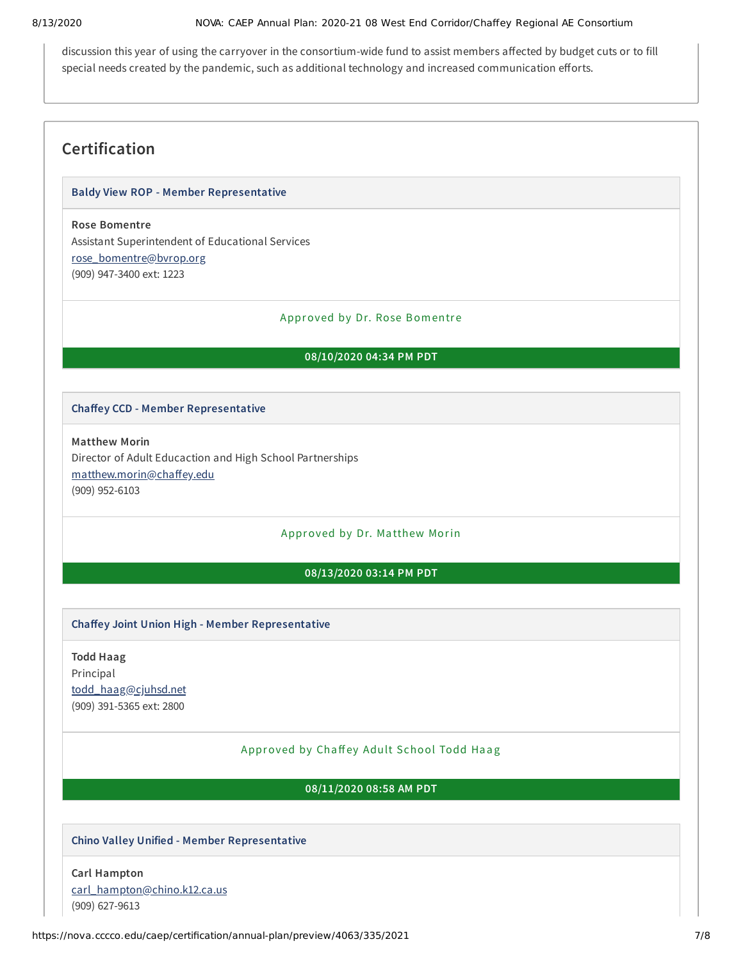#### 8/13/2020 NOVA: CAEP Annual Plan: 2020-21 08 West End Corridor/Chaffey Regional AE Consortium

discussion this year of using the carryover in the consortium-wide fund to assist members affected by budget cuts or to fill special needs created by the pandemic, such as additional technology and increased communication efforts.

# **Certification**

### **Baldy View ROP - Member Representative**

# **Rose Bomentre**

Assistant Superintendent of Educational Services [rose\\_bomentre@bvrop.org](mailto:rose_bomentre@bvrop.org) (909) 947-3400 ext: 1223

#### Approved by Dr. Rose Bomentre

### **08/10/2020 04:34 PM PDT**

### **Chaey CCD - Member Representative**

**Matthew Morin** Director of Adult Educaction and High School Partnerships matthew.morin@chaffey.edu (909) 952-6103

# Approved by Dr. Ma tthew Morin

### **08/13/2020 03:14 PM PDT**

### **Chaey Joint Union High - Member Representative**

**Todd Haag** Principal [todd\\_haag@cjuhsd.net](mailto:todd_haag@cjuhsd.net) (909) 391-5365 ext: 2800

### Approved by Chaffey Adult School Todd Haag

**08/11/2020 08:58 AM PDT**

### **Chino Valley Unified - Member Representative**

**Carl Hampton** [carl\\_hampton@chino.k12.ca.us](mailto:carl_hampton@chino.k12.ca.us) (909) 627-9613